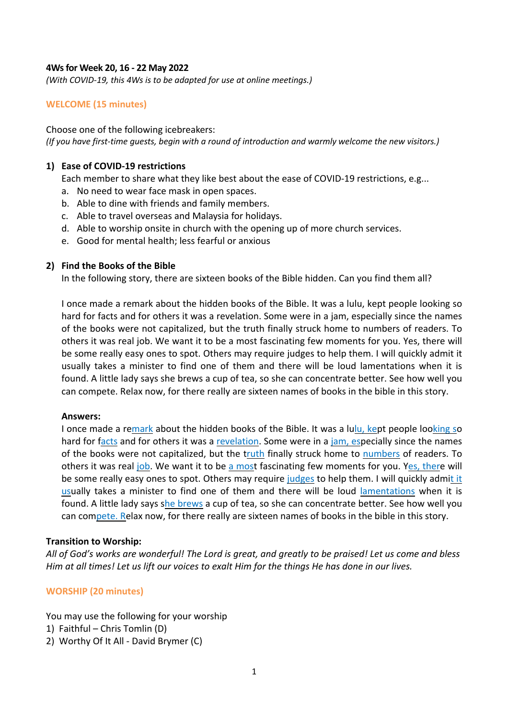## **4Ws for Week 20, 16 - 22 May 2022**

*(With COVID-19, this 4Ws is to be adapted for use at online meetings.)*

## **WELCOME (15 minutes)**

Choose one of the following icebreakers: *(If you have first-time guests, begin with a round of introduction and warmly welcome the new visitors.)*

#### **1) Ease of COVID-19 restrictions**

Each member to share what they like best about the ease of COVID-19 restrictions, e.g...

- a. No need to wear face mask in open spaces.
- b. Able to dine with friends and family members.
- c. Able to travel overseas and Malaysia for holidays.
- d. Able to worship onsite in church with the opening up of more church services.
- e. Good for mental health; less fearful or anxious

## **2) Find the Books of the Bible**

In the following story, there are sixteen books of the Bible hidden. Can you find them all?

I once made a remark about the hidden books of the Bible. It was a lulu, kept people looking so hard for facts and for others it was a revelation. Some were in a jam, especially since the names of the books were not capitalized, but the truth finally struck home to numbers of readers. To others it was real job. We want it to be a most fascinating few moments for you. Yes, there will be some really easy ones to spot. Others may require judges to help them. I will quickly admit it usually takes a minister to find one of them and there will be loud lamentations when it is found. A little lady says she brews a cup of tea, so she can concentrate better. See how well you can compete. Relax now, for there really are sixteen names of books in the bible in this story.

#### **Answers:**

I once made a remark about the hidden books of the Bible. It was a lulu, kept people looking so hard for facts and for others it was a revelation. Some were in a jam, especially since the names of the books were not capitalized, but the truth finally struck home to numbers of readers. To others it was real job. We want it to be a most fascinating few moments for you. Yes, there will be some really easy ones to spot. Others may require judges to help them. I will quickly admit it usually takes a minister to find one of them and there will be loud lamentations when it is found. A little lady says she brews a cup of tea, so she can concentrate better. See how well you can compete. Relax now, for there really are sixteen names of books in the bible in this story.

#### **Transition to Worship:**

*All of God's works are wonderful! The Lord is great, and greatly to be praised! Let us come and bless Him at all times! Let us lift our voices to exalt Him for the things He has done in our lives.*

#### **WORSHIP (20 minutes)**

You may use the following for your worship

- 1) Faithful Chris Tomlin (D)
- 2) Worthy Of It All David Brymer (C)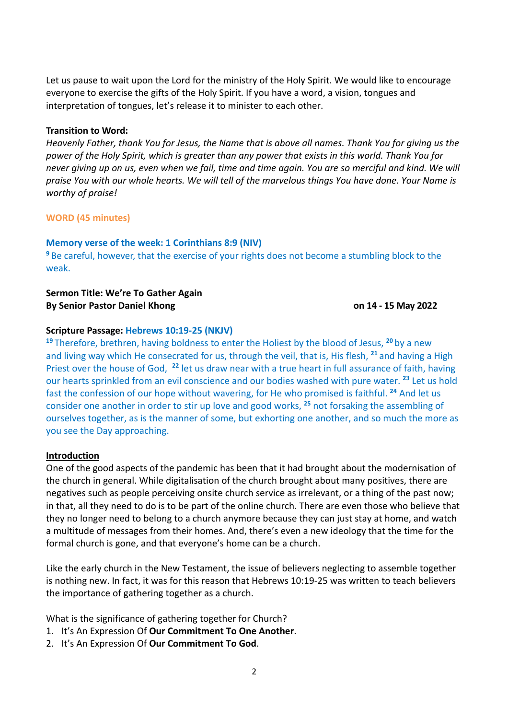Let us pause to wait upon the Lord for the ministry of the Holy Spirit. We would like to encourage everyone to exercise the gifts of the Holy Spirit. If you have a word, a vision, tongues and interpretation of tongues, let's release it to minister to each other.

## **Transition to Word:**

*Heavenly Father, thank You for Jesus, the Name that is above all names. Thank You for giving us the power of the Holy Spirit, which is greater than any power that exists in this world. Thank You for never giving up on us, even when we fail, time and time again. You are so merciful and kind. We will praise You with our whole hearts. We will tell of the marvelous things You have done. Your Name is worthy of praise!*

## **WORD (45 minutes)**

## **Memory verse of the week: 1 Corinthians 8:9 (NIV)**

**<sup>9</sup>** Be careful, however, that the exercise of your rights does not become a stumbling block to the weak.

## **Sermon Title: We're To Gather Again By Senior Pastor Daniel Khong on 14 - 15 May 2022**

## **Scripture Passage: Hebrews 10:19-25 (NKJV)**

**<sup>19</sup>** Therefore, brethren, having boldness to enter the Holiest by the blood of Jesus, **<sup>20</sup>** by a new and living way which He consecrated for us, through the veil, that is, His flesh, **<sup>21</sup>** and having a High Priest over the house of God, **<sup>22</sup>** let us draw near with a true heart in full assurance of faith, having our hearts sprinkled from an evil conscience and our bodies washed with pure water. **<sup>23</sup>** Let us hold fast the confession of our hope without wavering, for He who promised is faithful. **<sup>24</sup>** And let us consider one another in order to stir up love and good works, **<sup>25</sup>** not forsaking the assembling of ourselves together, as is the manner of some, but exhorting one another, and so much the more as you see the Day approaching.

#### **Introduction**

One of the good aspects of the pandemic has been that it had brought about the modernisation of the church in general. While digitalisation of the church brought about many positives, there are negatives such as people perceiving onsite church service as irrelevant, or a thing of the past now; in that, all they need to do is to be part of the online church. There are even those who believe that they no longer need to belong to a church anymore because they can just stay at home, and watch a multitude of messages from their homes. And, there's even a new ideology that the time for the formal church is gone, and that everyone's home can be a church.

Like the early church in the New Testament, the issue of believers neglecting to assemble together is nothing new. In fact, it was for this reason that Hebrews 10:19-25 was written to teach believers the importance of gathering together as a church.

What is the significance of gathering together for Church?

- 1. It's An Expression Of **Our Commitment To One Another**.
- 2. It's An Expression Of **Our Commitment To God**.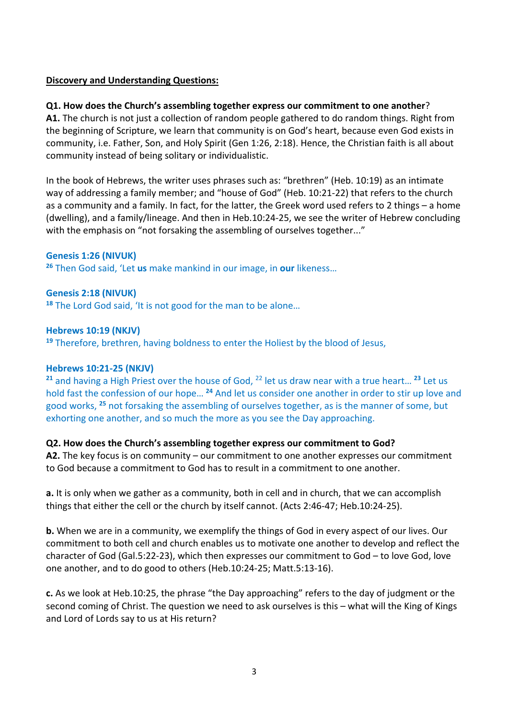# **Discovery and Understanding Questions:**

# **Q1. How does the Church's assembling together express our commitment to one another**?

**A1.** The church is not just a collection of random people gathered to do random things. Right from the beginning of Scripture, we learn that community is on God's heart, because even God exists in community, i.e. Father, Son, and Holy Spirit (Gen 1:26, 2:18). Hence, the Christian faith is all about community instead of being solitary or individualistic.

In the book of Hebrews, the writer uses phrases such as: "brethren" (Heb. 10:19) as an intimate way of addressing a family member; and "house of God" (Heb. 10:21-22) that refers to the church as a community and a family. In fact, for the latter, the Greek word used refers to 2 things – a home (dwelling), and a family/lineage. And then in Heb.10:24-25, we see the writer of Hebrew concluding with the emphasis on "not forsaking the assembling of ourselves together..."

## **Genesis 1:26 (NIVUK)**

**<sup>26</sup>** Then God said, 'Let **us** make mankind in our image, in **our** likeness…

## **Genesis 2:18 (NIVUK)**

**<sup>18</sup>** The Lord God said, 'It is not good for the man to be alone…

## **Hebrews 10:19 (NKJV)**

**<sup>19</sup>** Therefore, brethren, having boldness to enter the Holiest by the blood of Jesus,

#### **Hebrews 10:21-25 (NKJV)**

**<sup>21</sup>** and having a High Priest over the house of God, 22 let us draw near with a true heart… **<sup>23</sup>** Let us hold fast the confession of our hope… **<sup>24</sup>** And let us consider one another in order to stir up love and good works, **<sup>25</sup>** not forsaking the assembling of ourselves together, as is the manner of some, but exhorting one another, and so much the more as you see the Day approaching.

## **Q2. How does the Church's assembling together express our commitment to God?**

**A2.** The key focus is on community – our commitment to one another expresses our commitment to God because a commitment to God has to result in a commitment to one another.

**a.** It is only when we gather as a community, both in cell and in church, that we can accomplish things that either the cell or the church by itself cannot. (Acts 2:46-47; Heb.10:24-25).

**b.** When we are in a community, we exemplify the things of God in every aspect of our lives. Our commitment to both cell and church enables us to motivate one another to develop and reflect the character of God (Gal.5:22-23), which then expresses our commitment to God – to love God, love one another, and to do good to others (Heb.10:24-25; Matt.5:13-16).

**c.** As we look at Heb.10:25, the phrase "the Day approaching" refers to the day of judgment or the second coming of Christ. The question we need to ask ourselves is this – what will the King of Kings and Lord of Lords say to us at His return?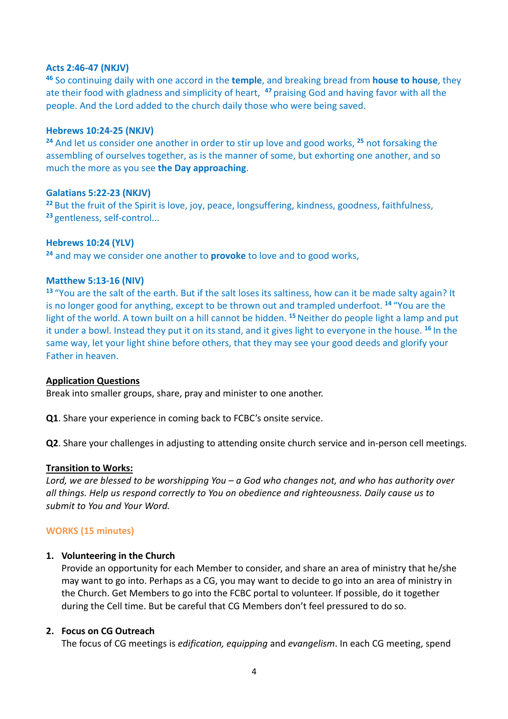## **Acts 2:46-47 (NKJV)**

**<sup>46</sup>** So continuing daily with one accord in the **temple**, and breaking bread from **house to house**, they ate their food with gladness and simplicity of heart, **<sup>47</sup>**praising God and having favor with all the people. And the Lord added to the church daily those who were being saved.

## **Hebrews 10:24-25 (NKJV)**

**<sup>24</sup>** And let us consider one another in order to stir up love and good works, **<sup>25</sup>** not forsaking the assembling of ourselves together, as is the manner of some, but exhorting one another, and so much the more as you see **the Day approaching**.

## **Galatians 5:22-23 (NKJV)**

**<sup>22</sup>**But the fruit of the Spirit is love, joy, peace, longsuffering, kindness, goodness, faithfulness, **<sup>23</sup>**gentleness, self-control...

## **Hebrews 10:24 (YLV)**

**<sup>24</sup>** and may we consider one another to **provoke** to love and to good works,

## **Matthew 5:13-16 (NIV)**

**<sup>13</sup>** "You are the salt of the earth. But if the salt loses its saltiness, how can it be made salty again? It is no longer good for anything, except to be thrown out and trampled underfoot. **<sup>14</sup>** "You are the light of the world. A town built on a hill cannot be hidden. **<sup>15</sup>**Neither do people light a lamp and put it under a bowl. Instead they put it on its stand, and it gives light to everyone in the house. **<sup>16</sup>** In the same way, let your light shine before others, that they may see your good deeds and glorify your Father in heaven.

#### **Application Questions**

Break into smaller groups, share, pray and minister to one another.

**Q1**. Share your experience in coming back to FCBC's onsite service.

**Q2**. Share your challenges in adjusting to attending onsite church service and in-person cell meetings.

#### **Transition to Works:**

*Lord, we are blessed to be worshipping You – a God who changes not, and who has authority over all things. Help us respond correctly to You on obedience and righteousness. Daily cause us to submit to You and Your Word.*

## **WORKS (15 minutes)**

## **1. Volunteering in the Church**

Provide an opportunity for each Member to consider, and share an area of ministry that he/she may want to go into. Perhaps as a CG, you may want to decide to go into an area of ministry in the Church. Get Members to go into the FCBC portal to volunteer. If possible, do it together during the Cell time. But be careful that CG Members don't feel pressured to do so.

## **2. Focus on CG Outreach**

The focus of CG meetings is *edification, equipping* and *evangelism*. In each CG meeting, spend